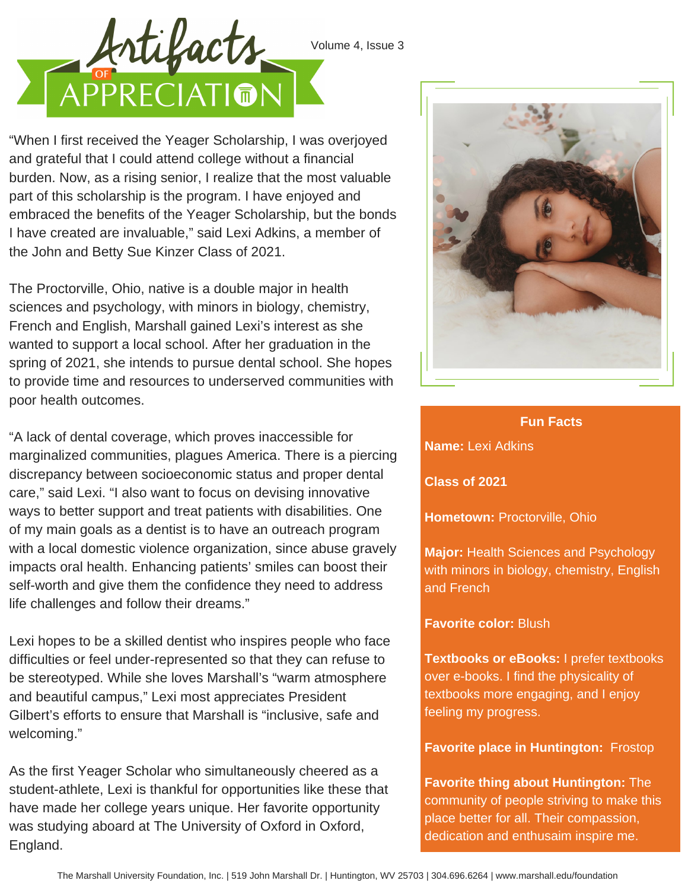

Volume 4, Issue 3

"When I first received the Yeager Scholarship, I was overjoyed and grateful that I could attend college without a financial burden. Now, as a rising senior, I realize that the most valuable part of this scholarship is the program. I have enjoyed and embraced the benefits of the Yeager Scholarship, but the bonds I have created are invaluable," said Lexi Adkins, a member of the John and Betty Sue Kinzer Class of 2021.

The Proctorville, Ohio, native is a double major in health sciences and psychology, with minors in biology, chemistry, French and English, Marshall gained Lexi's interest as she wanted to support a local school. After her graduation in the spring of 2021, she intends to pursue dental school. She hopes to provide time and resources to underserved communities with poor health outcomes.

"A lack of dental coverage, which proves inaccessible for marginalized communities, plagues America. There is a piercing discrepancy between socioeconomic status and proper dental care," said Lexi. "I also want to focus on devising innovative ways to better support and treat patients with disabilities. One of my main goals as a dentist is to have an outreach program with a local domestic violence organization, since abuse gravely impacts oral health. Enhancing patients' smiles can boost their self-worth and give them the confidence they need to address life challenges and follow their dreams."

Lexi hopes to be a skilled dentist who inspires people who face difficulties or feel under-represented so that they can refuse to be stereotyped. While she loves Marshall's "warm atmosphere and beautiful campus," Lexi most appreciates President Gilbert's efforts to ensure that Marshall is "inclusive, safe and welcoming."

As the first Yeager Scholar who simultaneously cheered as a student-athlete, Lexi is thankful for opportunities like these that have made her college years unique. Her favorite opportunity was studying aboard at The University of Oxford in Oxford, England.



## **Fun Facts**

**Name:** Lexi Adkins

**Class of 2021**

**Hometown:** Proctorville, Ohio

**Major:** Health Sciences and Psychology with minors in biology, chemistry, English and French

## **Favorite color:** Blush

**Textbooks or eBooks:** I prefer textbooks over e-books. I find the physicality of textbooks more engaging, and I enjoy feeling my progress.

**Favorite place in Huntington:** Frostop

**Favorite thing about Huntington:** The community of people striving to make this place better for all. Their compassion, dedication and enthusaim inspire me.